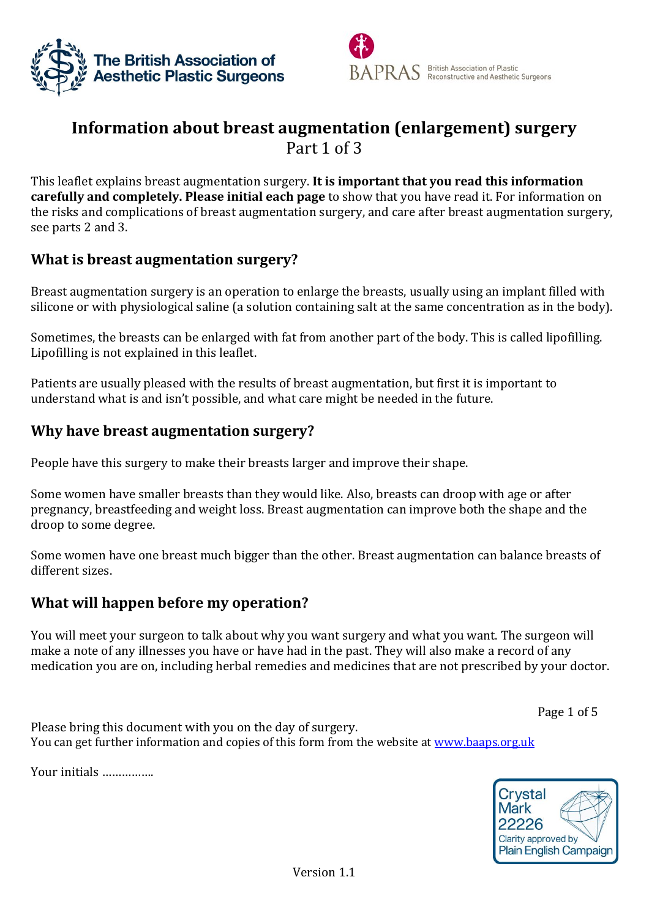



# **Information about breast augmentation (enlargement) surgery** Part 1 of 3

This leaflet explains breast augmentation surgery. **It is important that you read this information carefully and completely. Please initial each page** to show that you have read it. For information on the risks and complications of breast augmentation surgery, and care after breast augmentation surgery, see parts 2 and 3.

# **What is breast augmentation surgery?**

Breast augmentation surgery is an operation to enlarge the breasts, usually using an implant filled with silicone or with physiological saline (a solution containing salt at the same concentration as in the body).

Sometimes, the breasts can be enlarged with fat from another part of the body. This is called lipofilling. Lipofilling is not explained in this leaflet.

Patients are usually pleased with the results of breast augmentation, but first it is important to understand what is and isn't possible, and what care might be needed in the future.

# **Why have breast augmentation surgery?**

People have this surgery to make their breasts larger and improve their shape.

Some women have smaller breasts than they would like. Also, breasts can droop with age or after pregnancy, breastfeeding and weight loss. Breast augmentation can improve both the shape and the droop to some degree.

Some women have one breast much bigger than the other. Breast augmentation can balance breasts of different sizes.

# **What will happen before my operation?**

You will meet your surgeon to talk about why you want surgery and what you want. The surgeon will make a note of any illnesses you have or have had in the past. They will also make a record of any medication you are on, including herbal remedies and medicines that are not prescribed by your doctor.

Page 1 of 5

Please bring this document with you on the day of surgery. You can get further information and copies of this form from the website at [www.baaps.org.uk](http://www.baaps.org.uk/)

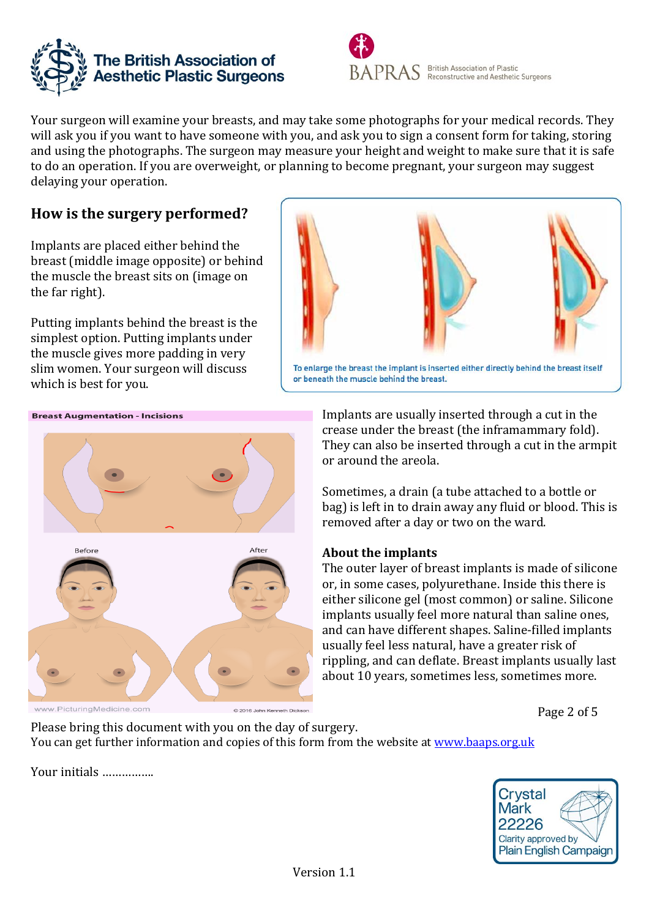



Your surgeon will examine your breasts, and may take some photographs for your medical records. They will ask you if you want to have someone with you, and ask you to sign a consent form for taking, storing and using the photographs. The surgeon may measure your height and weight to make sure that it is safe to do an operation. If you are overweight, or planning to become pregnant, your surgeon may suggest delaying your operation.

# **How is the surgery performed?**

Implants are placed either behind the breast (middle image opposite) or behind the muscle the breast sits on (image on the far right).

Putting implants behind the breast is the simplest option. Putting implants under the muscle gives more padding in very slim women. Your surgeon will discuss which is best for you.







Implants are usually inserted through a cut in the crease under the breast (the inframammary fold). They can also be inserted through a cut in the armpit or around the areola.

Sometimes, a drain (a tube attached to a bottle or bag) is left in to drain away any fluid or blood. This is removed after a day or two on the ward.

### **About the implants**

The outer layer of breast implants is made of silicone or, in some cases, polyurethane. Inside this there is either silicone gel (most common) or saline. Silicone implants usually feel more natural than saline ones, and can have different shapes. Saline-filled implants usually feel less natural, have a greater risk of rippling, and can deflate. Breast implants usually last about 10 years, sometimes less, sometimes more.

Page 2 of 5

Please bring this document with you on the day of surgery. You can get further information and copies of this form from the website at [www.baaps.org.uk](http://www.baaps.org.uk/)

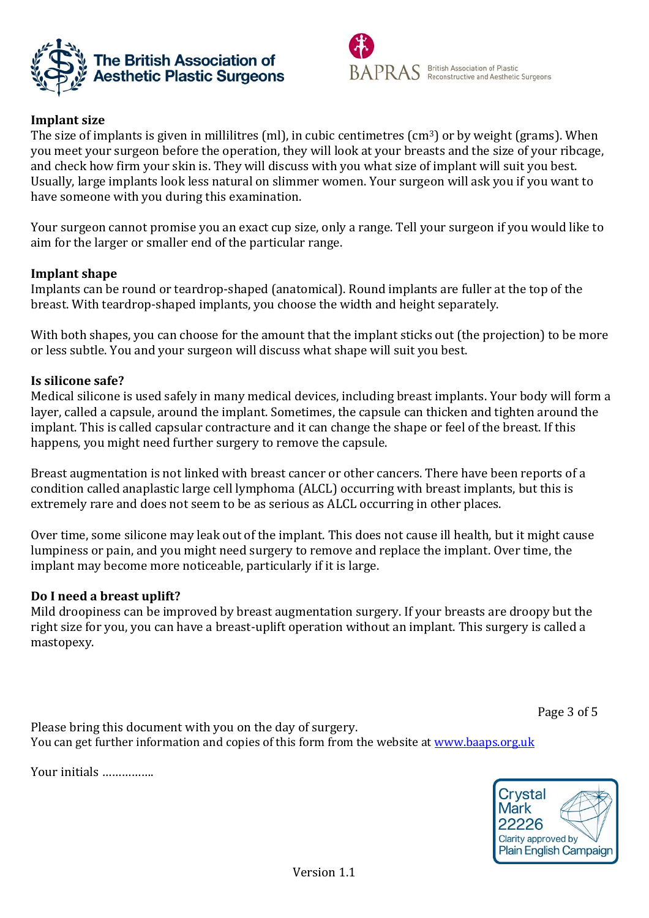



### **Implant size**

The size of implants is given in millilitres (ml), in cubic centimetres (cm<sup>3</sup>) or by weight (grams). When you meet your surgeon before the operation, they will look at your breasts and the size of your ribcage, and check how firm your skin is. They will discuss with you what size of implant will suit you best. Usually, large implants look less natural on slimmer women. Your surgeon will ask you if you want to have someone with you during this examination.

Your surgeon cannot promise you an exact cup size, only a range. Tell your surgeon if you would like to aim for the larger or smaller end of the particular range.

#### **Implant shape**

Implants can be round or teardrop-shaped (anatomical). Round implants are fuller at the top of the breast. With teardrop-shaped implants, you choose the width and height separately.

With both shapes, you can choose for the amount that the implant sticks out (the projection) to be more or less subtle. You and your surgeon will discuss what shape will suit you best.

#### **Is silicone safe?**

Medical silicone is used safely in many medical devices, including breast implants. Your body will form a layer, called a capsule, around the implant. Sometimes, the capsule can thicken and tighten around the implant. This is called capsular contracture and it can change the shape or feel of the breast. If this happens, you might need further surgery to remove the capsule.

Breast augmentation is not linked with breast cancer or other cancers. There have been reports of a condition called anaplastic large cell lymphoma (ALCL) occurring with breast implants, but this is extremely rare and does not seem to be as serious as ALCL occurring in other places.

Over time, some silicone may leak out of the implant. This does not cause ill health, but it might cause lumpiness or pain, and you might need surgery to remove and replace the implant. Over time, the implant may become more noticeable, particularly if it is large.

#### **Do I need a breast uplift?**

Mild droopiness can be improved by breast augmentation surgery. If your breasts are droopy but the right size for you, you can have a breast-uplift operation without an implant. This surgery is called a mastopexy.

Page 3 of 5

Please bring this document with you on the day of surgery. You can get further information and copies of this form from the website at [www.baaps.org.uk](http://www.baaps.org.uk/)

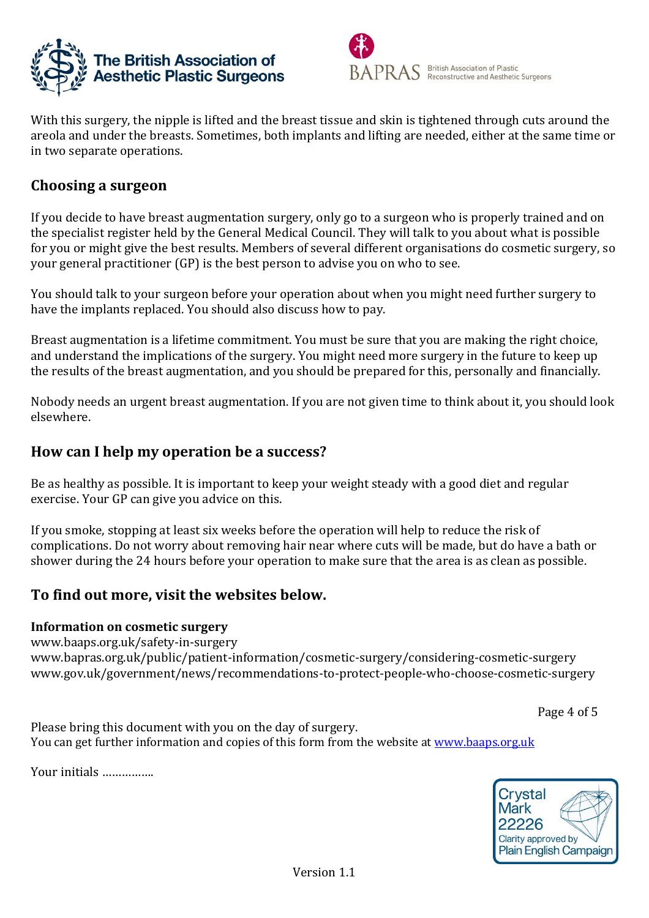



With this surgery, the nipple is lifted and the breast tissue and skin is tightened through cuts around the areola and under the breasts. Sometimes, both implants and lifting are needed, either at the same time or in two separate operations.

# **Choosing a surgeon**

If you decide to have breast augmentation surgery, only go to a surgeon who is properly trained and on the specialist register held by the General Medical Council. They will talk to you about what is possible for you or might give the best results. Members of several different organisations do cosmetic surgery, so your general practitioner (GP) is the best person to advise you on who to see.

You should talk to your surgeon before your operation about when you might need further surgery to have the implants replaced. You should also discuss how to pay.

Breast augmentation is a lifetime commitment. You must be sure that you are making the right choice, and understand the implications of the surgery. You might need more surgery in the future to keep up the results of the breast augmentation, and you should be prepared for this, personally and financially.

Nobody needs an urgent breast augmentation. If you are not given time to think about it, you should look elsewhere.

# **How can I help my operation be a success?**

Be as healthy as possible. It is important to keep your weight steady with a good diet and regular exercise. Your GP can give you advice on this.

If you smoke, stopping at least six weeks before the operation will help to reduce the risk of complications. Do not worry about removing hair near where cuts will be made, but do have a bath or shower during the 24 hours before your operation to make sure that the area is as clean as possible.

# **To find out more, visit the websites below.**

### **Information on cosmetic surgery**

[www.baaps.org.uk/safety-in-surgery](http://www.baaps.org.uk/safety-in-surgery) www.bapras.org.uk/public/patient-information/cosmetic-surgery/considering-cosmetic-surgery www.gov.uk/government/news/recommendations-to-protect-people-who-choose-cosmetic-surgery

Page 4 of 5

Please bring this document with you on the day of surgery. You can get further information and copies of this form from the website at [www.baaps.org.uk](http://www.baaps.org.uk/)